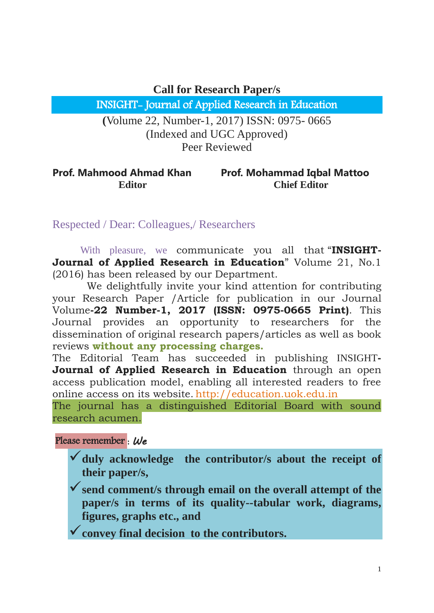**Call for Research Paper/s**

INSIGHT- Journal of Applied Research in Education

**(**Volume 22, Number-1, 2017) ISSN: 0975- 0665 (Indexed and UGC Approved) Peer Reviewed

## **Prof. Mahmood Ahmad Khan Editor Prof. Mohammad Iqbal Mattoo Chief Editor**

Respected / Dear: Colleagues,/ Researchers

 With pleasure, we communicate you all that "**INSIGHT-Journal of Applied Research in Education**" Volume 21, No.1 (2016) has been released by our Department.

 We delightfully invite your kind attention for contributing your Research Paper /Article for publication in our Journal Volume**-22 Number-1, 2017 (ISSN: 0975-0665 Print)**. This Journal provides an opportunity to researchers for the dissemination of original research papers/articles as well as book reviews **without any processing charges.**

The Editorial Team has succeeded in publishing INSIGHT**-Journal of Applied Research in Education** through an open access publication model, enabling all interested readers to free online access on its website. http://education.uok.edu.in

The journal has a distinguished Editorial Board with sound research acumen.

Please remember : *We*

**duly acknowledge the contributor/s about the receipt of their paper/s,**

**send comment/s through email on the overall attempt of the paper/s in terms of its quality--tabular work, diagrams, figures, graphs etc., and**

**convey final decision to the contributors.**